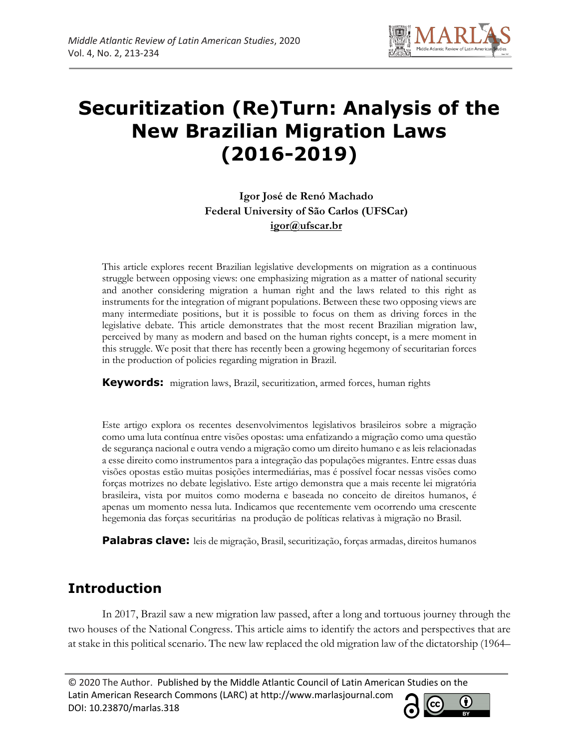

# **Securitization (Re)Turn: Analysis of the New Brazilian Migration Laws (2016-2019)**

**Igor José de Renó Machado Federal University of São Carlos (UFSCar) igor@ufscar.br**

This article explores recent Brazilian legislative developments on migration as a continuous struggle between opposing views: one emphasizing migration as a matter of national security and another considering migration a human right and the laws related to this right as instruments for the integration of migrant populations. Between these two opposing views are many intermediate positions, but it is possible to focus on them as driving forces in the legislative debate. This article demonstrates that the most recent Brazilian migration law, perceived by many as modern and based on the human rights concept, is a mere moment in this struggle. We posit that there has recently been a growing hegemony of securitarian forces in the production of policies regarding migration in Brazil.

**Keywords:** migration laws, Brazil, securitization, armed forces, human rights

Este artigo explora os recentes desenvolvimentos legislativos brasileiros sobre a migração como uma luta contínua entre visões opostas: uma enfatizando a migração como uma questão de segurança nacional e outra vendo a migração como um direito humano e as leis relacionadas a esse direito como instrumentos para a integração das populações migrantes. Entre essas duas visões opostas estão muitas posições intermediárias, mas é possível focar nessas visões como forças motrizes no debate legislativo. Este artigo demonstra que a mais recente lei migratória brasileira, vista por muitos como moderna e baseada no conceito de direitos humanos, é apenas um momento nessa luta. Indicamos que recentemente vem ocorrendo uma crescente hegemonia das forças securitárias na produção de políticas relativas à migração no Brasil.

**Palabras clave:** leis de migração, Brasil, securitização, forças armadas, direitos humanos

## **Introduction**

In 2017, Brazil saw a new migration law passed, after a long and tortuous journey through the two houses of the National Congress. This article aims to identify the actors and perspectives that are at stake in this political scenario. The new law replaced the old migration law of the dictatorship (1964–

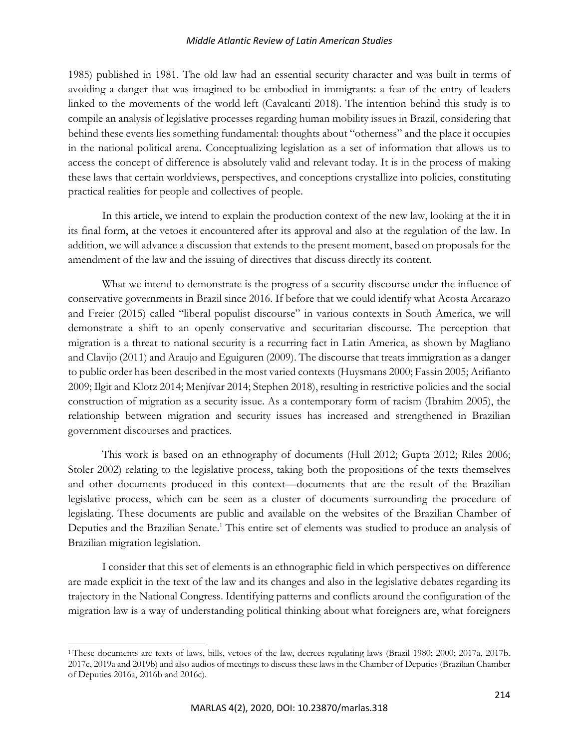1985) published in 1981. The old law had an essential security character and was built in terms of avoiding a danger that was imagined to be embodied in immigrants: a fear of the entry of leaders linked to the movements of the world left (Cavalcanti 2018). The intention behind this study is to compile an analysis of legislative processes regarding human mobility issues in Brazil, considering that behind these events lies something fundamental: thoughts about "otherness" and the place it occupies in the national political arena. Conceptualizing legislation as a set of information that allows us to access the concept of difference is absolutely valid and relevant today. It is in the process of making these laws that certain worldviews, perspectives, and conceptions crystallize into policies, constituting practical realities for people and collectives of people.

In this article, we intend to explain the production context of the new law, looking at the it in its final form, at the vetoes it encountered after its approval and also at the regulation of the law. In addition, we will advance a discussion that extends to the present moment, based on proposals for the amendment of the law and the issuing of directives that discuss directly its content.

What we intend to demonstrate is the progress of a security discourse under the influence of conservative governments in Brazil since 2016. If before that we could identify what Acosta Arcarazo and Freier (2015) called "liberal populist discourse" in various contexts in South America, we will demonstrate a shift to an openly conservative and securitarian discourse. The perception that migration is a threat to national security is a recurring fact in Latin America, as shown by Magliano and Clavijo (2011) and Araujo and Eguiguren (2009). The discourse that treats immigration as a danger to public order has been described in the most varied contexts (Huysmans 2000; Fassin 2005; Arifianto 2009; Ilgit and Klotz 2014; Menjívar 2014; Stephen 2018), resulting in restrictive policies and the social construction of migration as a security issue. As a contemporary form of racism (Ibrahim 2005), the relationship between migration and security issues has increased and strengthened in Brazilian government discourses and practices.

This work is based on an ethnography of documents (Hull 2012; Gupta 2012; Riles 2006; Stoler 2002) relating to the legislative process, taking both the propositions of the texts themselves and other documents produced in this context—documents that are the result of the Brazilian legislative process, which can be seen as a cluster of documents surrounding the procedure of legislating. These documents are public and available on the websites of the Brazilian Chamber of Deputies and the Brazilian Senate.<sup>1</sup> This entire set of elements was studied to produce an analysis of Brazilian migration legislation.

I consider that this set of elements is an ethnographic field in which perspectives on difference are made explicit in the text of the law and its changes and also in the legislative debates regarding its trajectory in the National Congress. Identifying patterns and conflicts around the configuration of the migration law is a way of understanding political thinking about what foreigners are, what foreigners

<sup>&</sup>lt;sup>1</sup>These documents are texts of laws, bills, vetoes of the law, decrees regulating laws (Brazil 1980; 2000; 2017a, 2017b. 2017c, 2019a and 2019b) and also audios of meetings to discuss these laws in the Chamber of Deputies (Brazilian Chamber of Deputies 2016a, 2016b and 2016c).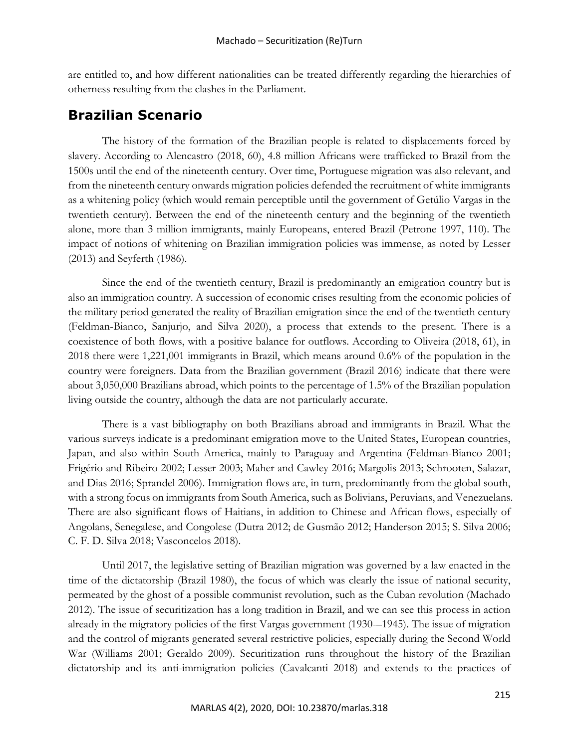are entitled to, and how different nationalities can be treated differently regarding the hierarchies of otherness resulting from the clashes in the Parliament.

## **Brazilian Scenario**

The history of the formation of the Brazilian people is related to displacements forced by slavery. According to Alencastro (2018, 60), 4.8 million Africans were trafficked to Brazil from the 1500s until the end of the nineteenth century. Over time, Portuguese migration was also relevant, and from the nineteenth century onwards migration policies defended the recruitment of white immigrants as a whitening policy (which would remain perceptible until the government of Getúlio Vargas in the twentieth century). Between the end of the nineteenth century and the beginning of the twentieth alone, more than 3 million immigrants, mainly Europeans, entered Brazil (Petrone 1997, 110). The impact of notions of whitening on Brazilian immigration policies was immense, as noted by Lesser (2013) and Seyferth (1986).

Since the end of the twentieth century, Brazil is predominantly an emigration country but is also an immigration country. A succession of economic crises resulting from the economic policies of the military period generated the reality of Brazilian emigration since the end of the twentieth century (Feldman-Bianco, Sanjurjo, and Silva 2020), a process that extends to the present. There is a coexistence of both flows, with a positive balance for outflows. According to Oliveira (2018, 61), in 2018 there were 1,221,001 immigrants in Brazil, which means around 0.6% of the population in the country were foreigners. Data from the Brazilian government (Brazil 2016) indicate that there were about 3,050,000 Brazilians abroad, which points to the percentage of 1.5% of the Brazilian population living outside the country, although the data are not particularly accurate.

There is a vast bibliography on both Brazilians abroad and immigrants in Brazil. What the various surveys indicate is a predominant emigration move to the United States, European countries, Japan, and also within South America, mainly to Paraguay and Argentina (Feldman-Bianco 2001; Frigério and Ribeiro 2002; Lesser 2003; Maher and Cawley 2016; Margolis 2013; Schrooten, Salazar, and Dias 2016; Sprandel 2006). Immigration flows are, in turn, predominantly from the global south, with a strong focus on immigrants from South America, such as Bolivians, Peruvians, and Venezuelans. There are also significant flows of Haitians, in addition to Chinese and African flows, especially of Angolans, Senegalese, and Congolese (Dutra 2012; de Gusmão 2012; Handerson 2015; S. Silva 2006; C. F. D. Silva 2018; Vasconcelos 2018).

Until 2017, the legislative setting of Brazilian migration was governed by a law enacted in the time of the dictatorship (Brazil 1980), the focus of which was clearly the issue of national security, permeated by the ghost of a possible communist revolution, such as the Cuban revolution (Machado 2012). The issue of securitization has a long tradition in Brazil, and we can see this process in action already in the migratory policies of the first Vargas government (1930-–1945). The issue of migration and the control of migrants generated several restrictive policies, especially during the Second World War (Williams 2001; Geraldo 2009). Securitization runs throughout the history of the Brazilian dictatorship and its anti-immigration policies (Cavalcanti 2018) and extends to the practices of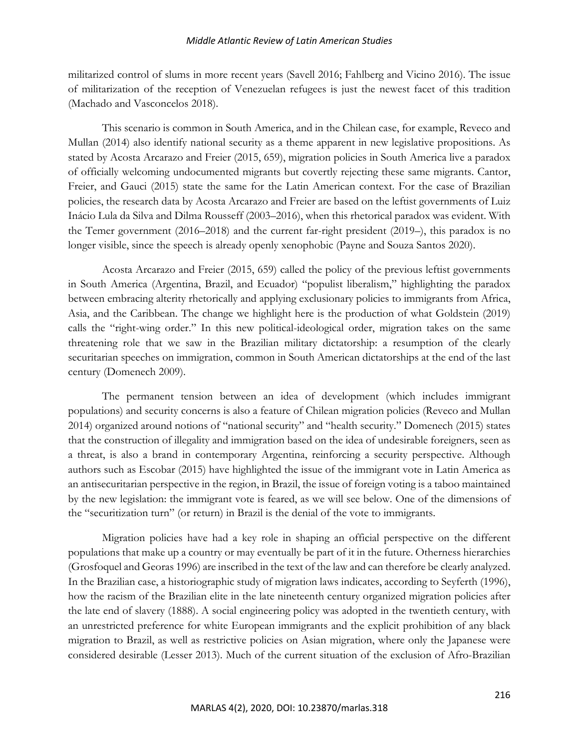militarized control of slums in more recent years (Savell 2016; Fahlberg and Vicino 2016). The issue of militarization of the reception of Venezuelan refugees is just the newest facet of this tradition (Machado and Vasconcelos 2018).

This scenario is common in South America, and in the Chilean case, for example, Reveco and Mullan (2014) also identify national security as a theme apparent in new legislative propositions. As stated by Acosta Arcarazo and Freier (2015, 659), migration policies in South America live a paradox of officially welcoming undocumented migrants but covertly rejecting these same migrants. Cantor, Freier, and Gauci (2015) state the same for the Latin American context. For the case of Brazilian policies, the research data by Acosta Arcarazo and Freier are based on the leftist governments of Luiz Inácio Lula da Silva and Dilma Rousseff (2003–2016), when this rhetorical paradox was evident. With the Temer government (2016–2018) and the current far-right president (2019–), this paradox is no longer visible, since the speech is already openly xenophobic (Payne and Souza Santos 2020).

Acosta Arcarazo and Freier (2015, 659) called the policy of the previous leftist governments in South America (Argentina, Brazil, and Ecuador) "populist liberalism," highlighting the paradox between embracing alterity rhetorically and applying exclusionary policies to immigrants from Africa, Asia, and the Caribbean. The change we highlight here is the production of what Goldstein (2019) calls the "right-wing order." In this new political-ideological order, migration takes on the same threatening role that we saw in the Brazilian military dictatorship: a resumption of the clearly securitarian speeches on immigration, common in South American dictatorships at the end of the last century (Domenech 2009).

The permanent tension between an idea of development (which includes immigrant populations) and security concerns is also a feature of Chilean migration policies (Reveco and Mullan 2014) organized around notions of "national security" and "health security." Domenech (2015) states that the construction of illegality and immigration based on the idea of undesirable foreigners, seen as a threat, is also a brand in contemporary Argentina, reinforcing a security perspective. Although authors such as Escobar (2015) have highlighted the issue of the immigrant vote in Latin America as an antisecuritarian perspective in the region, in Brazil, the issue of foreign voting is a taboo maintained by the new legislation: the immigrant vote is feared, as we will see below. One of the dimensions of the "securitization turn" (or return) in Brazil is the denial of the vote to immigrants.

Migration policies have had a key role in shaping an official perspective on the different populations that make up a country or may eventually be part of it in the future. Otherness hierarchies (Grosfoquel and Georas 1996) are inscribed in the text of the law and can therefore be clearly analyzed. In the Brazilian case, a historiographic study of migration laws indicates, according to Seyferth (1996), how the racism of the Brazilian elite in the late nineteenth century organized migration policies after the late end of slavery (1888). A social engineering policy was adopted in the twentieth century, with an unrestricted preference for white European immigrants and the explicit prohibition of any black migration to Brazil, as well as restrictive policies on Asian migration, where only the Japanese were considered desirable (Lesser 2013). Much of the current situation of the exclusion of Afro-Brazilian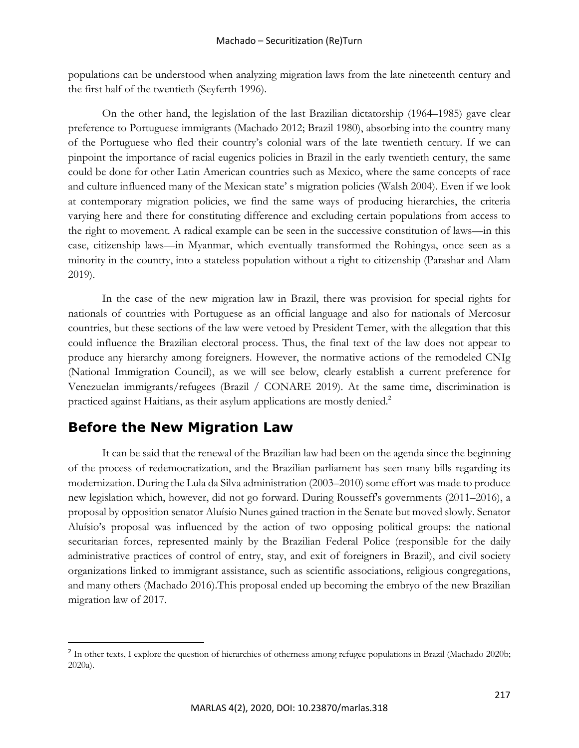populations can be understood when analyzing migration laws from the late nineteenth century and the first half of the twentieth (Seyferth 1996).

On the other hand, the legislation of the last Brazilian dictatorship (1964–1985) gave clear preference to Portuguese immigrants (Machado 2012; Brazil 1980), absorbing into the country many of the Portuguese who fled their country's colonial wars of the late twentieth century. If we can pinpoint the importance of racial eugenics policies in Brazil in the early twentieth century, the same could be done for other Latin American countries such as Mexico, where the same concepts of race and culture influenced many of the Mexican state' s migration policies (Walsh 2004). Even if we look at contemporary migration policies, we find the same ways of producing hierarchies, the criteria varying here and there for constituting difference and excluding certain populations from access to the right to movement. A radical example can be seen in the successive constitution of laws—in this case, citizenship laws—in Myanmar, which eventually transformed the Rohingya, once seen as a minority in the country, into a stateless population without a right to citizenship (Parashar and Alam 2019).

In the case of the new migration law in Brazil, there was provision for special rights for nationals of countries with Portuguese as an official language and also for nationals of Mercosur countries, but these sections of the law were vetoed by President Temer, with the allegation that this could influence the Brazilian electoral process. Thus, the final text of the law does not appear to produce any hierarchy among foreigners. However, the normative actions of the remodeled CNIg (National Immigration Council), as we will see below, clearly establish a current preference for Venezuelan immigrants/refugees (Brazil / CONARE 2019). At the same time, discrimination is practiced against Haitians, as their asylum applications are mostly denied.<sup>2</sup>

## **Before the New Migration Law**

It can be said that the renewal of the Brazilian law had been on the agenda since the beginning of the process of redemocratization, and the Brazilian parliament has seen many bills regarding its modernization. During the Lula da Silva administration (2003–2010) some effort was made to produce new legislation which, however, did not go forward. During Rousseff's governments (2011–2016), a proposal by opposition senator Aluísio Nunes gained traction in the Senate but moved slowly. Senator Aluísio's proposal was influenced by the action of two opposing political groups: the national securitarian forces, represented mainly by the Brazilian Federal Police (responsible for the daily administrative practices of control of entry, stay, and exit of foreigners in Brazil), and civil society organizations linked to immigrant assistance, such as scientific associations, religious congregations, and many others (Machado 2016).This proposal ended up becoming the embryo of the new Brazilian migration law of 2017.

<sup>&</sup>lt;sup>2</sup> In other texts, I explore the question of hierarchies of otherness among refugee populations in Brazil (Machado 2020b; 2020a).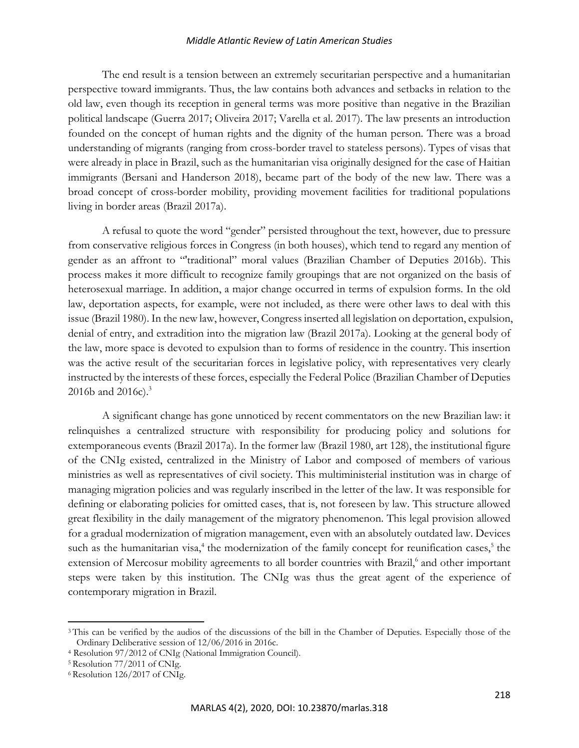The end result is a tension between an extremely securitarian perspective and a humanitarian perspective toward immigrants. Thus, the law contains both advances and setbacks in relation to the old law, even though its reception in general terms was more positive than negative in the Brazilian political landscape (Guerra 2017; Oliveira 2017; Varella et al. 2017). The law presents an introduction founded on the concept of human rights and the dignity of the human person. There was a broad understanding of migrants (ranging from cross-border travel to stateless persons). Types of visas that were already in place in Brazil, such as the humanitarian visa originally designed for the case of Haitian immigrants (Bersani and Handerson 2018), became part of the body of the new law. There was a broad concept of cross-border mobility, providing movement facilities for traditional populations living in border areas (Brazil 2017a).

A refusal to quote the word "gender" persisted throughout the text, however, due to pressure from conservative religious forces in Congress (in both houses), which tend to regard any mention of gender as an affront to "'traditional" moral values (Brazilian Chamber of Deputies 2016b). This process makes it more difficult to recognize family groupings that are not organized on the basis of heterosexual marriage. In addition, a major change occurred in terms of expulsion forms. In the old law, deportation aspects, for example, were not included, as there were other laws to deal with this issue (Brazil 1980). In the new law, however, Congress inserted all legislation on deportation, expulsion, denial of entry, and extradition into the migration law (Brazil 2017a). Looking at the general body of the law, more space is devoted to expulsion than to forms of residence in the country. This insertion was the active result of the securitarian forces in legislative policy, with representatives very clearly instructed by the interests of these forces, especially the Federal Police (Brazilian Chamber of Deputies 2016b and 2016c). $3$ 

A significant change has gone unnoticed by recent commentators on the new Brazilian law: it relinquishes a centralized structure with responsibility for producing policy and solutions for extemporaneous events (Brazil 2017a). In the former law (Brazil 1980, art 128), the institutional figure of the CNIg existed, centralized in the Ministry of Labor and composed of members of various ministries as well as representatives of civil society. This multiministerial institution was in charge of managing migration policies and was regularly inscribed in the letter of the law. It was responsible for defining or elaborating policies for omitted cases, that is, not foreseen by law. This structure allowed great flexibility in the daily management of the migratory phenomenon. This legal provision allowed for a gradual modernization of migration management, even with an absolutely outdated law. Devices such as the humanitarian visa, $4$  the modernization of the family concept for reunification cases, $5$  the extension of Mercosur mobility agreements to all border countries with Brazil,<sup>6</sup> and other important steps were taken by this institution. The CNIg was thus the great agent of the experience of contemporary migration in Brazil.

<sup>&</sup>lt;sup>3</sup>This can be verified by the audios of the discussions of the bill in the Chamber of Deputies. Especially those of the Ordinary Deliberative session of 12/06/2016 in 2016c.

<sup>4</sup> Resolution 97/2012 of CNIg (National Immigration Council).

<sup>5</sup> Resolution 77/2011 of CNIg.

<sup>6</sup> Resolution 126/2017 of CNIg.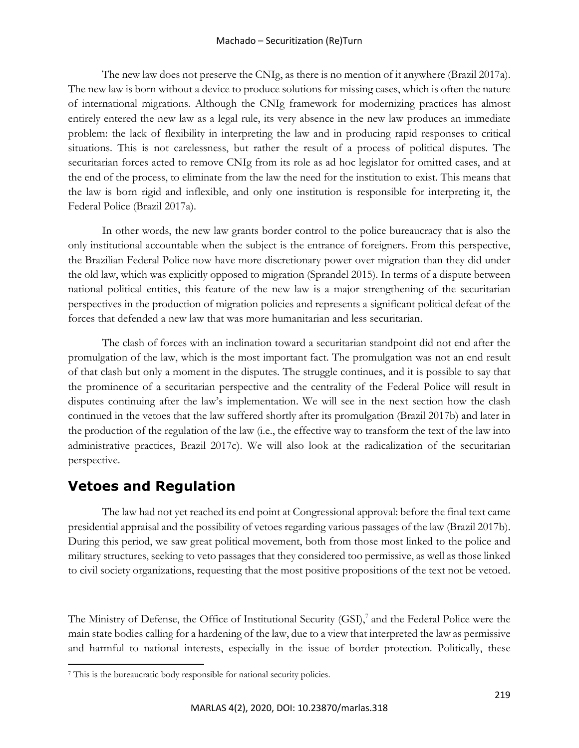## Machado – Securitization (Re)Turn

The new law does not preserve the CNIg, as there is no mention of it anywhere (Brazil 2017a). The new law is born without a device to produce solutions for missing cases, which is often the nature of international migrations. Although the CNIg framework for modernizing practices has almost entirely entered the new law as a legal rule, its very absence in the new law produces an immediate problem: the lack of flexibility in interpreting the law and in producing rapid responses to critical situations. This is not carelessness, but rather the result of a process of political disputes. The securitarian forces acted to remove CNIg from its role as ad hoc legislator for omitted cases, and at the end of the process, to eliminate from the law the need for the institution to exist. This means that the law is born rigid and inflexible, and only one institution is responsible for interpreting it, the Federal Police (Brazil 2017a).

In other words, the new law grants border control to the police bureaucracy that is also the only institutional accountable when the subject is the entrance of foreigners. From this perspective, the Brazilian Federal Police now have more discretionary power over migration than they did under the old law, which was explicitly opposed to migration (Sprandel 2015). In terms of a dispute between national political entities, this feature of the new law is a major strengthening of the securitarian perspectives in the production of migration policies and represents a significant political defeat of the forces that defended a new law that was more humanitarian and less securitarian.

The clash of forces with an inclination toward a securitarian standpoint did not end after the promulgation of the law, which is the most important fact. The promulgation was not an end result of that clash but only a moment in the disputes. The struggle continues, and it is possible to say that the prominence of a securitarian perspective and the centrality of the Federal Police will result in disputes continuing after the law's implementation. We will see in the next section how the clash continued in the vetoes that the law suffered shortly after its promulgation (Brazil 2017b) and later in the production of the regulation of the law (i.e., the effective way to transform the text of the law into administrative practices, Brazil 2017c). We will also look at the radicalization of the securitarian perspective.

## **Vetoes and Regulation**

The law had not yet reached its end point at Congressional approval: before the final text came presidential appraisal and the possibility of vetoes regarding various passages of the law (Brazil 2017b). During this period, we saw great political movement, both from those most linked to the police and military structures, seeking to veto passages that they considered too permissive, as well as those linked to civil society organizations, requesting that the most positive propositions of the text not be vetoed.

The Ministry of Defense, the Office of Institutional Security (GSI),<sup>7</sup> and the Federal Police were the main state bodies calling for a hardening of the law, due to a view that interpreted the law as permissive and harmful to national interests, especially in the issue of border protection. Politically, these

<sup>7</sup> This is the bureaucratic body responsible for national security policies.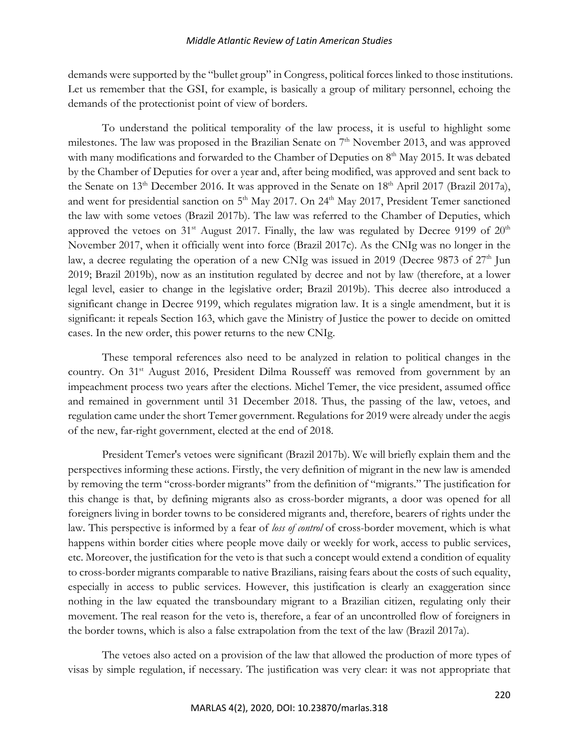demands were supported by the "bullet group" in Congress, political forces linked to those institutions. Let us remember that the GSI, for example, is basically a group of military personnel, echoing the demands of the protectionist point of view of borders.

To understand the political temporality of the law process, it is useful to highlight some milestones. The law was proposed in the Brazilian Senate on 7<sup>th</sup> November 2013, and was approved with many modifications and forwarded to the Chamber of Deputies on 8<sup>th</sup> May 2015. It was debated by the Chamber of Deputies for over a year and, after being modified, was approved and sent back to the Senate on  $13<sup>th</sup>$  December 2016. It was approved in the Senate on  $18<sup>th</sup>$  April 2017 (Brazil 2017a), and went for presidential sanction on 5<sup>th</sup> May 2017. On 24<sup>th</sup> May 2017, President Temer sanctioned the law with some vetoes (Brazil 2017b). The law was referred to the Chamber of Deputies, which approved the vetoes on  $31<sup>st</sup>$  August 2017. Finally, the law was regulated by Decree 9199 of  $20<sup>th</sup>$ November 2017, when it officially went into force (Brazil 2017c). As the CNIg was no longer in the law, a decree regulating the operation of a new CNIg was issued in 2019 (Decree 9873 of  $27<sup>th</sup>$  Jun 2019; Brazil 2019b), now as an institution regulated by decree and not by law (therefore, at a lower legal level, easier to change in the legislative order; Brazil 2019b). This decree also introduced a significant change in Decree 9199, which regulates migration law. It is a single amendment, but it is significant: it repeals Section 163, which gave the Ministry of Justice the power to decide on omitted cases. In the new order, this power returns to the new CNIg.

These temporal references also need to be analyzed in relation to political changes in the country. On 31<sup>st</sup> August 2016, President Dilma Rousseff was removed from government by an impeachment process two years after the elections. Michel Temer, the vice president, assumed office and remained in government until 31 December 2018. Thus, the passing of the law, vetoes, and regulation came under the short Temer government. Regulations for 2019 were already under the aegis of the new, far-right government, elected at the end of 2018.

President Temer's vetoes were significant (Brazil 2017b). We will briefly explain them and the perspectives informing these actions. Firstly, the very definition of migrant in the new law is amended by removing the term "cross-border migrants" from the definition of "migrants." The justification for this change is that, by defining migrants also as cross-border migrants, a door was opened for all foreigners living in border towns to be considered migrants and, therefore, bearers of rights under the law. This perspective is informed by a fear of *loss of control* of cross-border movement, which is what happens within border cities where people move daily or weekly for work, access to public services, etc. Moreover, the justification for the veto is that such a concept would extend a condition of equality to cross-border migrants comparable to native Brazilians, raising fears about the costs of such equality, especially in access to public services. However, this justification is clearly an exaggeration since nothing in the law equated the transboundary migrant to a Brazilian citizen, regulating only their movement. The real reason for the veto is, therefore, a fear of an uncontrolled flow of foreigners in the border towns, which is also a false extrapolation from the text of the law (Brazil 2017a).

The vetoes also acted on a provision of the law that allowed the production of more types of visas by simple regulation, if necessary. The justification was very clear: it was not appropriate that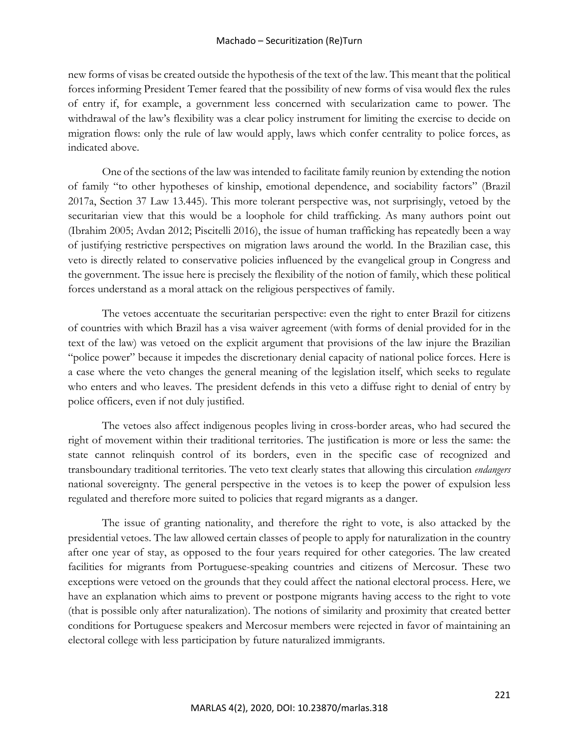## Machado – Securitization (Re)Turn

new forms of visas be created outside the hypothesis of the text of the law. This meant that the political forces informing President Temer feared that the possibility of new forms of visa would flex the rules of entry if, for example, a government less concerned with secularization came to power. The withdrawal of the law's flexibility was a clear policy instrument for limiting the exercise to decide on migration flows: only the rule of law would apply, laws which confer centrality to police forces, as indicated above.

One of the sections of the law was intended to facilitate family reunion by extending the notion of family "to other hypotheses of kinship, emotional dependence, and sociability factors" (Brazil 2017a, Section 37 Law 13.445). This more tolerant perspective was, not surprisingly, vetoed by the securitarian view that this would be a loophole for child trafficking. As many authors point out (Ibrahim 2005; Avdan 2012; Piscitelli 2016), the issue of human trafficking has repeatedly been a way of justifying restrictive perspectives on migration laws around the world. In the Brazilian case, this veto is directly related to conservative policies influenced by the evangelical group in Congress and the government. The issue here is precisely the flexibility of the notion of family, which these political forces understand as a moral attack on the religious perspectives of family.

The vetoes accentuate the securitarian perspective: even the right to enter Brazil for citizens of countries with which Brazil has a visa waiver agreement (with forms of denial provided for in the text of the law) was vetoed on the explicit argument that provisions of the law injure the Brazilian "police power" because it impedes the discretionary denial capacity of national police forces. Here is a case where the veto changes the general meaning of the legislation itself, which seeks to regulate who enters and who leaves. The president defends in this veto a diffuse right to denial of entry by police officers, even if not duly justified.

The vetoes also affect indigenous peoples living in cross-border areas, who had secured the right of movement within their traditional territories. The justification is more or less the same: the state cannot relinquish control of its borders, even in the specific case of recognized and transboundary traditional territories. The veto text clearly states that allowing this circulation *endangers* national sovereignty. The general perspective in the vetoes is to keep the power of expulsion less regulated and therefore more suited to policies that regard migrants as a danger.

The issue of granting nationality, and therefore the right to vote, is also attacked by the presidential vetoes. The law allowed certain classes of people to apply for naturalization in the country after one year of stay, as opposed to the four years required for other categories. The law created facilities for migrants from Portuguese-speaking countries and citizens of Mercosur. These two exceptions were vetoed on the grounds that they could affect the national electoral process. Here, we have an explanation which aims to prevent or postpone migrants having access to the right to vote (that is possible only after naturalization). The notions of similarity and proximity that created better conditions for Portuguese speakers and Mercosur members were rejected in favor of maintaining an electoral college with less participation by future naturalized immigrants.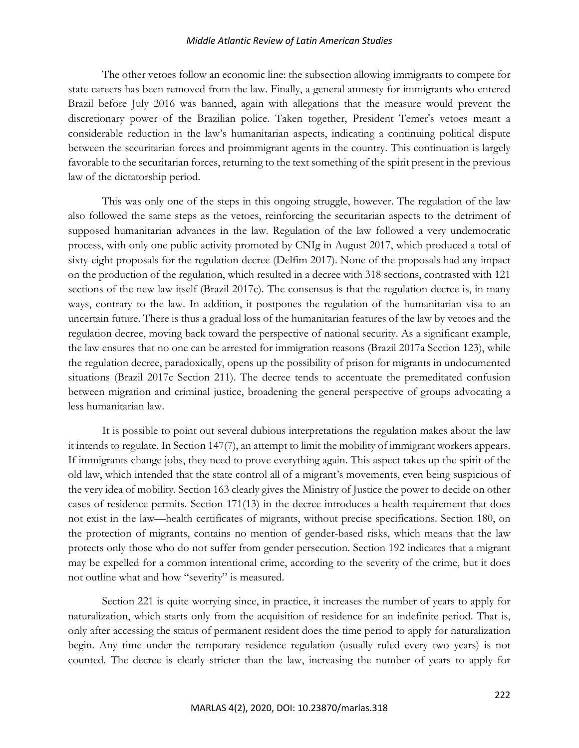The other vetoes follow an economic line: the subsection allowing immigrants to compete for state careers has been removed from the law. Finally, a general amnesty for immigrants who entered Brazil before July 2016 was banned, again with allegations that the measure would prevent the discretionary power of the Brazilian police. Taken together, President Temer's vetoes meant a considerable reduction in the law's humanitarian aspects, indicating a continuing political dispute between the securitarian forces and proimmigrant agents in the country. This continuation is largely favorable to the securitarian forces, returning to the text something of the spirit present in the previous law of the dictatorship period.

This was only one of the steps in this ongoing struggle, however. The regulation of the law also followed the same steps as the vetoes, reinforcing the securitarian aspects to the detriment of supposed humanitarian advances in the law. Regulation of the law followed a very undemocratic process, with only one public activity promoted by CNIg in August 2017, which produced a total of sixty-eight proposals for the regulation decree (Delfim 2017). None of the proposals had any impact on the production of the regulation, which resulted in a decree with 318 sections, contrasted with 121 sections of the new law itself (Brazil 2017c). The consensus is that the regulation decree is, in many ways, contrary to the law. In addition, it postpones the regulation of the humanitarian visa to an uncertain future. There is thus a gradual loss of the humanitarian features of the law by vetoes and the regulation decree, moving back toward the perspective of national security. As a significant example, the law ensures that no one can be arrested for immigration reasons (Brazil 2017a Section 123), while the regulation decree, paradoxically, opens up the possibility of prison for migrants in undocumented situations (Brazil 2017c Section 211). The decree tends to accentuate the premeditated confusion between migration and criminal justice, broadening the general perspective of groups advocating a less humanitarian law.

It is possible to point out several dubious interpretations the regulation makes about the law it intends to regulate. In Section 147(7), an attempt to limit the mobility of immigrant workers appears. If immigrants change jobs, they need to prove everything again. This aspect takes up the spirit of the old law, which intended that the state control all of a migrant's movements, even being suspicious of the very idea of mobility. Section 163 clearly gives the Ministry of Justice the power to decide on other cases of residence permits. Section 171(13) in the decree introduces a health requirement that does not exist in the law—health certificates of migrants, without precise specifications. Section 180, on the protection of migrants, contains no mention of gender-based risks, which means that the law protects only those who do not suffer from gender persecution. Section 192 indicates that a migrant may be expelled for a common intentional crime, according to the severity of the crime, but it does not outline what and how "severity" is measured.

Section 221 is quite worrying since, in practice, it increases the number of years to apply for naturalization, which starts only from the acquisition of residence for an indefinite period. That is, only after accessing the status of permanent resident does the time period to apply for naturalization begin. Any time under the temporary residence regulation (usually ruled every two years) is not counted. The decree is clearly stricter than the law, increasing the number of years to apply for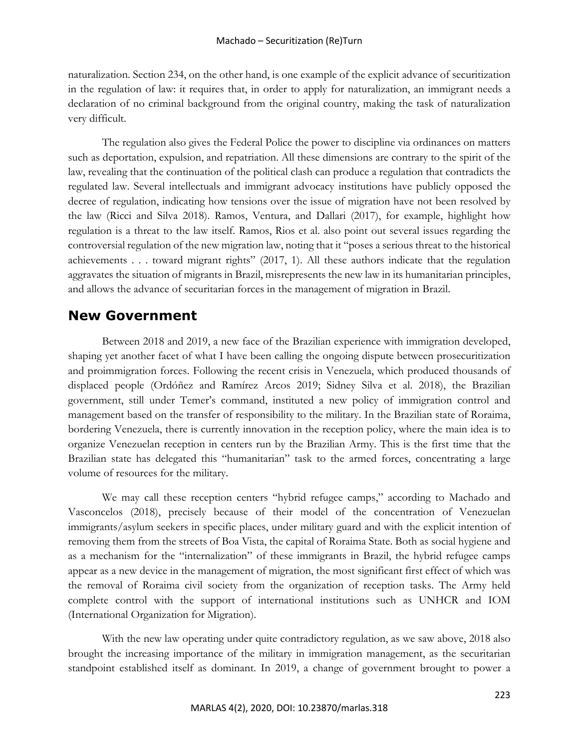naturalization. Section 234, on the other hand, is one example of the explicit advance of securitization in the regulation of law: it requires that, in order to apply for naturalization, an immigrant needs a declaration of no criminal background from the original country, making the task of naturalization very difficult.

The regulation also gives the Federal Police the power to discipline via ordinances on matters such as deportation, expulsion, and repatriation. All these dimensions are contrary to the spirit of the law, revealing that the continuation of the political clash can produce a regulation that contradicts the regulated law. Several intellectuals and immigrant advocacy institutions have publicly opposed the decree of regulation, indicating how tensions over the issue of migration have not been resolved by the law (Ricci and Silva 2018). Ramos, Ventura, and Dallari (2017), for example, highlight how regulation is a threat to the law itself. Ramos, Rios et al. also point out several issues regarding the controversial regulation of the new migration law, noting that it "poses a serious threat to the historical achievements . . . toward migrant rights" (2017, 1). All these authors indicate that the regulation aggravates the situation of migrants in Brazil, misrepresents the new law in its humanitarian principles, and allows the advance of securitarian forces in the management of migration in Brazil.

## **New Government**

Between 2018 and 2019, a new face of the Brazilian experience with immigration developed, shaping yet another facet of what I have been calling the ongoing dispute between prosecuritization and proimmigration forces. Following the recent crisis in Venezuela, which produced thousands of displaced people (Ordóñez and Ramírez Arcos 2019; Sidney Silva et al. 2018), the Brazilian government, still under Temer's command, instituted a new policy of immigration control and management based on the transfer of responsibility to the military. In the Brazilian state of Roraima, bordering Venezuela, there is currently innovation in the reception policy, where the main idea is to organize Venezuelan reception in centers run by the Brazilian Army. This is the first time that the Brazilian state has delegated this "humanitarian" task to the armed forces, concentrating a large volume of resources for the military.

We may call these reception centers "hybrid refugee camps," according to Machado and Vasconcelos (2018), precisely because of their model of the concentration of Venezuelan immigrants/asylum seekers in specific places, under military guard and with the explicit intention of removing them from the streets of Boa Vista, the capital of Roraima State. Both as social hygiene and as a mechanism for the "internalization" of these immigrants in Brazil, the hybrid refugee camps appear as a new device in the management of migration, the most significant first effect of which was the removal of Roraima civil society from the organization of reception tasks. The Army held complete control with the support of international institutions such as UNHCR and IOM (International Organization for Migration).

With the new law operating under quite contradictory regulation, as we saw above, 2018 also brought the increasing importance of the military in immigration management, as the securitarian standpoint established itself as dominant. In 2019, a change of government brought to power a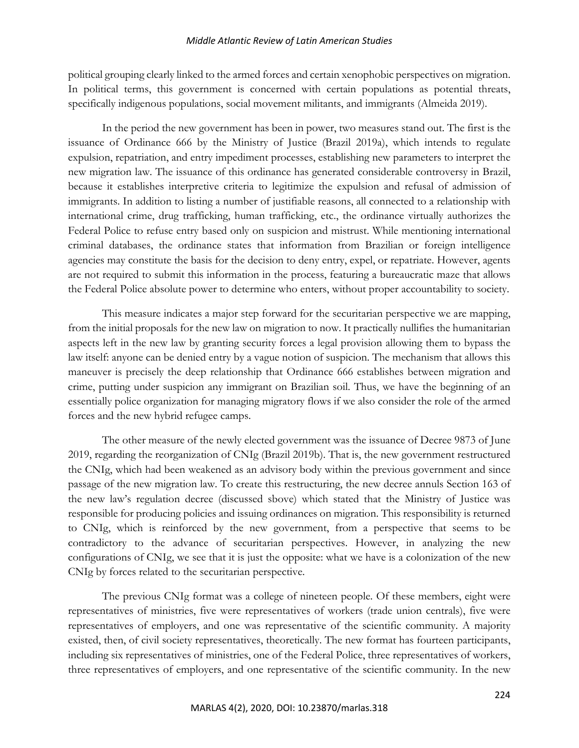political grouping clearly linked to the armed forces and certain xenophobic perspectives on migration. In political terms, this government is concerned with certain populations as potential threats, specifically indigenous populations, social movement militants, and immigrants (Almeida 2019).

In the period the new government has been in power, two measures stand out. The first is the issuance of Ordinance 666 by the Ministry of Justice (Brazil 2019a), which intends to regulate expulsion, repatriation, and entry impediment processes, establishing new parameters to interpret the new migration law. The issuance of this ordinance has generated considerable controversy in Brazil, because it establishes interpretive criteria to legitimize the expulsion and refusal of admission of immigrants. In addition to listing a number of justifiable reasons, all connected to a relationship with international crime, drug trafficking, human trafficking, etc., the ordinance virtually authorizes the Federal Police to refuse entry based only on suspicion and mistrust. While mentioning international criminal databases, the ordinance states that information from Brazilian or foreign intelligence agencies may constitute the basis for the decision to deny entry, expel, or repatriate. However, agents are not required to submit this information in the process, featuring a bureaucratic maze that allows the Federal Police absolute power to determine who enters, without proper accountability to society.

This measure indicates a major step forward for the securitarian perspective we are mapping, from the initial proposals for the new law on migration to now. It practically nullifies the humanitarian aspects left in the new law by granting security forces a legal provision allowing them to bypass the law itself: anyone can be denied entry by a vague notion of suspicion. The mechanism that allows this maneuver is precisely the deep relationship that Ordinance 666 establishes between migration and crime, putting under suspicion any immigrant on Brazilian soil. Thus, we have the beginning of an essentially police organization for managing migratory flows if we also consider the role of the armed forces and the new hybrid refugee camps.

The other measure of the newly elected government was the issuance of Decree 9873 of June 2019, regarding the reorganization of CNIg (Brazil 2019b). That is, the new government restructured the CNIg, which had been weakened as an advisory body within the previous government and since passage of the new migration law. To create this restructuring, the new decree annuls Section 163 of the new law's regulation decree (discussed sbove) which stated that the Ministry of Justice was responsible for producing policies and issuing ordinances on migration. This responsibility is returned to CNIg, which is reinforced by the new government, from a perspective that seems to be contradictory to the advance of securitarian perspectives. However, in analyzing the new configurations of CNIg, we see that it is just the opposite: what we have is a colonization of the new CNIg by forces related to the securitarian perspective.

The previous CNIg format was a college of nineteen people. Of these members, eight were representatives of ministries, five were representatives of workers (trade union centrals), five were representatives of employers, and one was representative of the scientific community. A majority existed, then, of civil society representatives, theoretically. The new format has fourteen participants, including six representatives of ministries, one of the Federal Police, three representatives of workers, three representatives of employers, and one representative of the scientific community. In the new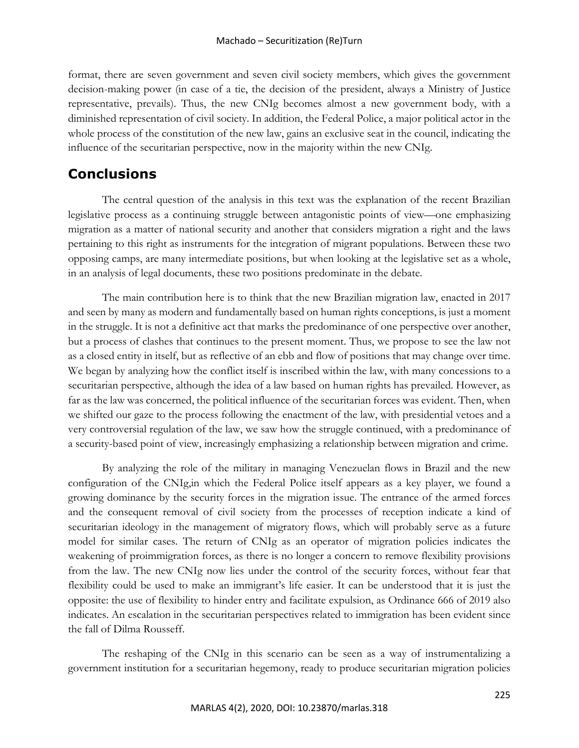format, there are seven government and seven civil society members, which gives the government decision-making power (in case of a tie, the decision of the president, always a Ministry of Justice representative, prevails). Thus, the new CNIg becomes almost a new government body, with a diminished representation of civil society. In addition, the Federal Police, a major political actor in the whole process of the constitution of the new law, gains an exclusive seat in the council, indicating the influence of the securitarian perspective, now in the majority within the new CNIg.

## **Conclusions**

The central question of the analysis in this text was the explanation of the recent Brazilian legislative process as a continuing struggle between antagonistic points of view—one emphasizing migration as a matter of national security and another that considers migration a right and the laws pertaining to this right as instruments for the integration of migrant populations. Between these two opposing camps, are many intermediate positions, but when looking at the legislative set as a whole, in an analysis of legal documents, these two positions predominate in the debate.

The main contribution here is to think that the new Brazilian migration law, enacted in 2017 and seen by many as modern and fundamentally based on human rights conceptions, is just a moment in the struggle. It is not a definitive act that marks the predominance of one perspective over another, but a process of clashes that continues to the present moment. Thus, we propose to see the law not as a closed entity in itself, but as reflective of an ebb and flow of positions that may change over time. We began by analyzing how the conflict itself is inscribed within the law, with many concessions to a securitarian perspective, although the idea of a law based on human rights has prevailed. However, as far as the law was concerned, the political influence of the securitarian forces was evident. Then, when we shifted our gaze to the process following the enactment of the law, with presidential vetoes and a very controversial regulation of the law, we saw how the struggle continued, with a predominance of a security-based point of view, increasingly emphasizing a relationship between migration and crime.

By analyzing the role of the military in managing Venezuelan flows in Brazil and the new configuration of the CNIg,in which the Federal Police itself appears as a key player, we found a growing dominance by the security forces in the migration issue. The entrance of the armed forces and the consequent removal of civil society from the processes of reception indicate a kind of securitarian ideology in the management of migratory flows, which will probably serve as a future model for similar cases. The return of CNIg as an operator of migration policies indicates the weakening of proimmigration forces, as there is no longer a concern to remove flexibility provisions from the law. The new CNIg now lies under the control of the security forces, without fear that flexibility could be used to make an immigrant's life easier. It can be understood that it is just the opposite: the use of flexibility to hinder entry and facilitate expulsion, as Ordinance 666 of 2019 also indicates. An escalation in the securitarian perspectives related to immigration has been evident since the fall of Dilma Rousseff.

The reshaping of the CNIg in this scenario can be seen as a way of instrumentalizing a government institution for a securitarian hegemony, ready to produce securitarian migration policies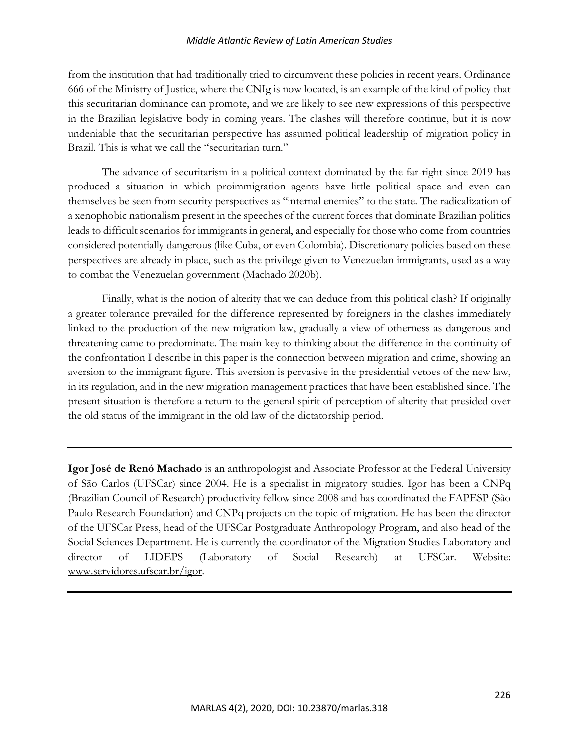from the institution that had traditionally tried to circumvent these policies in recent years. Ordinance 666 of the Ministry of Justice, where the CNIg is now located, is an example of the kind of policy that this securitarian dominance can promote, and we are likely to see new expressions of this perspective in the Brazilian legislative body in coming years. The clashes will therefore continue, but it is now undeniable that the securitarian perspective has assumed political leadership of migration policy in Brazil. This is what we call the "securitarian turn."

The advance of securitarism in a political context dominated by the far-right since 2019 has produced a situation in which proimmigration agents have little political space and even can themselves be seen from security perspectives as "internal enemies" to the state. The radicalization of a xenophobic nationalism present in the speeches of the current forces that dominate Brazilian politics leads to difficult scenarios for immigrants in general, and especially for those who come from countries considered potentially dangerous (like Cuba, or even Colombia). Discretionary policies based on these perspectives are already in place, such as the privilege given to Venezuelan immigrants, used as a way to combat the Venezuelan government (Machado 2020b).

Finally, what is the notion of alterity that we can deduce from this political clash? If originally a greater tolerance prevailed for the difference represented by foreigners in the clashes immediately linked to the production of the new migration law, gradually a view of otherness as dangerous and threatening came to predominate. The main key to thinking about the difference in the continuity of the confrontation I describe in this paper is the connection between migration and crime, showing an aversion to the immigrant figure. This aversion is pervasive in the presidential vetoes of the new law, in its regulation, and in the new migration management practices that have been established since. The present situation is therefore a return to the general spirit of perception of alterity that presided over the old status of the immigrant in the old law of the dictatorship period.

**Igor José de Renó Machado** is an anthropologist and Associate Professor at the Federal University of São Carlos (UFSCar) since 2004. He is a specialist in migratory studies. Igor has been a CNPq (Brazilian Council of Research) productivity fellow since 2008 and has coordinated the FAPESP (São Paulo Research Foundation) and CNPq projects on the topic of migration. He has been the director of the UFSCar Press, head of the UFSCar Postgraduate Anthropology Program, and also head of the Social Sciences Department. He is currently the coordinator of the Migration Studies Laboratory and director of LIDEPS (Laboratory of Social Research) at UFSCar. Website: www.servidores.ufscar.br/igor.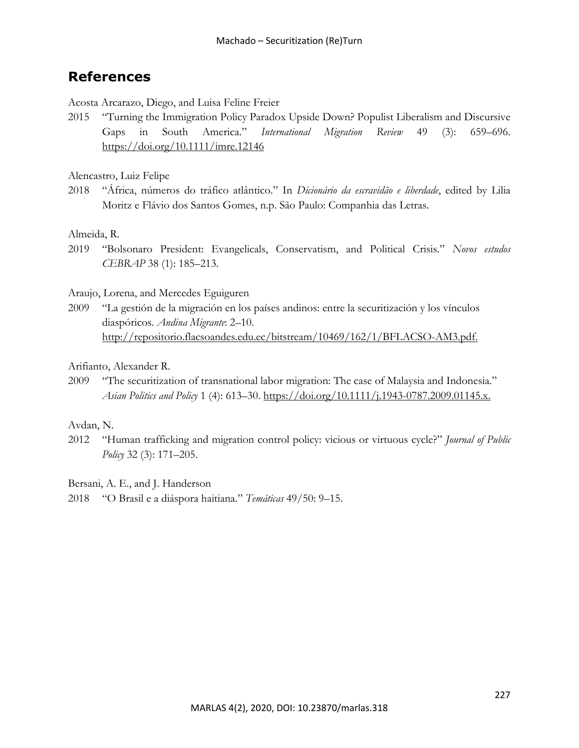## **References**

Acosta Arcarazo, Diego, and Luisa Feline Freier

2015 "Turning the Immigration Policy Paradox Upside Down? Populist Liberalism and Discursive Gaps in South America." *International Migration Review* 49 (3): 659–696. https://doi.org/10.1111/imre.12146

Alencastro, Luiz Felipe

2018 "África, números do tráfico atlântico." In *Dicionário da escravidão e liberdade*, edited by Lilia Moritz e Flávio dos Santos Gomes, n.p. São Paulo: Companhia das Letras.

## Almeida, R.

2019 "Bolsonaro President: Evangelicals, Conservatism, and Political Crisis." *Novos estudos CEBRAP* 38 (1): 185–213.

## Araujo, Lorena, and Mercedes Eguiguren

2009 "La gestión de la migración en los países andinos: entre la securitización y los vínculos diaspóricos. *Andina Migrante*: 2–10. http://repositorio.flacsoandes.edu.ec/bitstream/10469/162/1/BFLACSO-AM3.pdf.

## Arifianto, Alexander R.

2009 "The securitization of transnational labor migration: The case of Malaysia and Indonesia." *Asian Politics and Policy* 1 (4): 613–30. https://doi.org/10.1111/j.1943-0787.2009.01145.x.

## Avdan, N.

2012 "Human trafficking and migration control policy: vicious or virtuous cycle?" *Journal of Public Policy* 32 (3): 171–205.

Bersani, A. E., and J. Handerson

2018 "O Brasil e a diáspora haitiana." *Temáticas* 49/50: 9–15.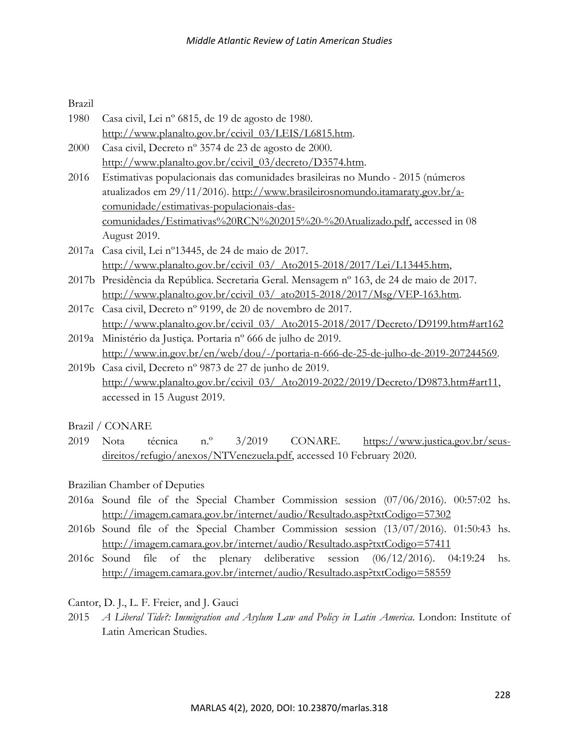Brazil

- 1980 Casa civil, Lei nº 6815, de 19 de agosto de 1980. http://www.planalto.gov.br/ccivil\_03/LEIS/L6815.htm.
- 2000 Casa civil, Decreto nº 3574 de 23 de agosto de 2000. http://www.planalto.gov.br/ccivil\_03/decreto/D3574.htm.
- 2016 Estimativas populacionais das comunidades brasileiras no Mundo 2015 (números atualizados em 29/11/2016). http://www.brasileirosnomundo.itamaraty.gov.br/acomunidade/estimativas-populacionais-dascomunidades/Estimativas%20RCN%202015%20-%20Atualizado.pdf, accessed in 08 August 2019.
- 2017a Casa civil, Lei nº13445, de 24 de maio de 2017. http://www.planalto.gov.br/ccivil\_03/\_Ato2015-2018/2017/Lei/L13445.htm,
- 2017b Presidência da República. Secretaria Geral. Mensagem nº 163, de 24 de maio de 2017. http://www.planalto.gov.br/ccivil\_03/\_ato2015-2018/2017/Msg/VEP-163.htm.
- 2017c Casa civil, Decreto nº 9199, de 20 de novembro de 2017. http://www.planalto.gov.br/ccivil\_03/\_Ato2015-2018/2017/Decreto/D9199.htm#art162
- 2019a Ministério da Justiça. Portaria nº 666 de julho de 2019. http://www.in.gov.br/en/web/dou/-/portaria-n-666-de-25-de-julho-de-2019-207244569.
- 2019b Casa civil, Decreto nº 9873 de 27 de junho de 2019. http://www.planalto.gov.br/ccivil\_03/\_Ato2019-2022/2019/Decreto/D9873.htm#art11, accessed in 15 August 2019.

Brazil / CONARE

2019 Nota técnica n.º 3/2019 CONARE. https://www.justica.gov.br/seusdireitos/refugio/anexos/NTVenezuela.pdf, accessed 10 February 2020.

Brazilian Chamber of Deputies

- 2016a Sound file of the Special Chamber Commission session (07/06/2016). 00:57:02 hs. http://imagem.camara.gov.br/internet/audio/Resultado.asp?txtCodigo=57302
- 2016b Sound file of the Special Chamber Commission session (13/07/2016). 01:50:43 hs. http://imagem.camara.gov.br/internet/audio/Resultado.asp?txtCodigo=57411
- 2016c Sound file of the plenary deliberative session (06/12/2016). 04:19:24 hs. http://imagem.camara.gov.br/internet/audio/Resultado.asp?txtCodigo=58559
- Cantor, D. J., L. F. Freier, and J. Gauci
- 2015 *A Liberal Tide?: Immigration and Asylum Law and Policy in Latin America*. London: Institute of Latin American Studies.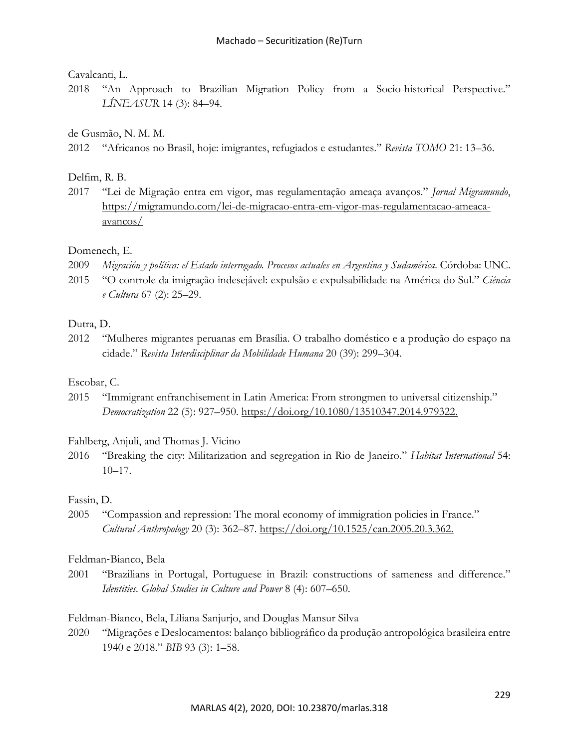## Cavalcanti, L.

2018 "An Approach to Brazilian Migration Policy from a Socio-historical Perspective." *LÍNEASUR* 14 (3): 84–94.

de Gusmão, N. M. M.

2012 "Africanos no Brasil, hoje: imigrantes, refugiados e estudantes." *Revista TOMO* 21: 13–36.

## Delfim, R. B.

2017 "Lei de Migração entra em vigor, mas regulamentação ameaça avanços." *Jornal Migramundo*, https://migramundo.com/lei-de-migracao-entra-em-vigor-mas-regulamentacao-ameacaavancos/

## Domenech, E.

- 2009 *Migración y política: el Estado interrogado. Procesos actuales en Argentina y Sudamérica*. Córdoba: UNC.
- 2015 "O controle da imigração indesejável: expulsão e expulsabilidade na América do Sul." *Ciência e Cultura* 67 (2): 25–29.

## Dutra, D.

2012 "Mulheres migrantes peruanas em Brasília. O trabalho doméstico e a produção do espaço na cidade." *Revista Interdisciplinar da Mobilidade Humana* 20 (39): 299–304.

## Escobar, C.

2015 "Immigrant enfranchisement in Latin America: From strongmen to universal citizenship." *Democratization* 22 (5): 927–950. https://doi.org/10.1080/13510347.2014.979322.

## Fahlberg, Anjuli, and Thomas J. Vicino

2016 "Breaking the city: Militarization and segregation in Rio de Janeiro." *Habitat International* 54: 10–17.

## Fassin, D.

2005 "Compassion and repression: The moral economy of immigration policies in France." *Cultural Anthropology* 20 (3): 362–87. https://doi.org/10.1525/can.2005.20.3.362.

## Feldman-Bianco, Bela

2001 "Brazilians in Portugal, Portuguese in Brazil: constructions of sameness and difference." *Identities. Global Studies in Culture and Power* 8 (4): 607–650.

## Feldman-Bianco, Bela, Liliana Sanjurjo, and Douglas Mansur Silva

2020 "Migrações e Deslocamentos: balanço bibliográfico da produção antropológica brasileira entre 1940 e 2018." *BIB* 93 (3): 1–58.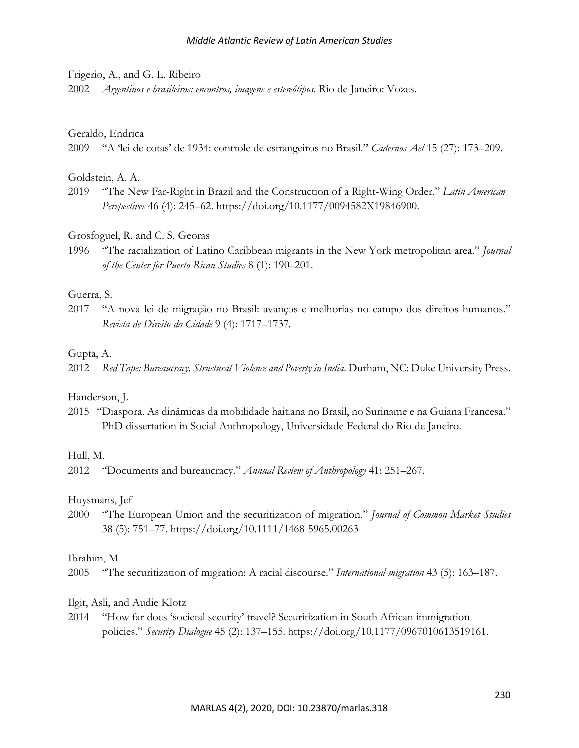#### Frigerio, A., and G. L. Ribeiro

2002 *Argentinos e brasileiros: encontros, imagens e estereótipos*. Rio de Janeiro: Vozes.

#### Geraldo, Endrica

2009 "A 'lei de cotas' de 1934: controle de estrangeiros no Brasil." *Cadernos Ael* 15 (27): 173–209.

#### Goldstein, A. A.

2019 "The New Far-Right in Brazil and the Construction of a Right-Wing Order." *Latin American Perspectives* 46 (4): 245–62. https://doi.org/10.1177/0094582X19846900.

Grosfoguel, R. and C. S. Georas

1996 "The racialization of Latino Caribbean migrants in the New York metropolitan area." *Journal of the Center for Puerto Rican Studies* 8 (1): 190–201.

## Guerra, S.

2017 "A nova lei de migração no Brasil: avanços e melhorias no campo dos direitos humanos." *Revista de Direito da Cidade* 9 (4): 1717–1737.

#### Gupta, A.

2012 *Red Tape: Bureaucracy, Structural Violence and Poverty in India*. Durham, NC: Duke University Press.

#### Handerson, J.

2015 "Diaspora. As dinâmicas da mobilidade haitiana no Brasil, no Suriname e na Guiana Francesa." PhD dissertation in Social Anthropology, Universidade Federal do Rio de Janeiro.

#### Hull, M.

2012 "Documents and bureaucracy." *Annual Review of Anthropology* 41: 251–267.

## Huysmans, Jef

2000 "The European Union and the securitization of migration." *Journal of Common Market Studies* 38 (5): 751–77. https://doi.org/10.1111/1468-5965.00263

#### Ibrahim, M.

2005 "The securitization of migration: A racial discourse." *International migration* 43 (5): 163–187.

## Ilgit, Asli, and Audie Klotz

2014 "How far does 'societal security' travel? Securitization in South African immigration policies." *Security Dialogue* 45 (2): 137–155. https://doi.org/10.1177/0967010613519161.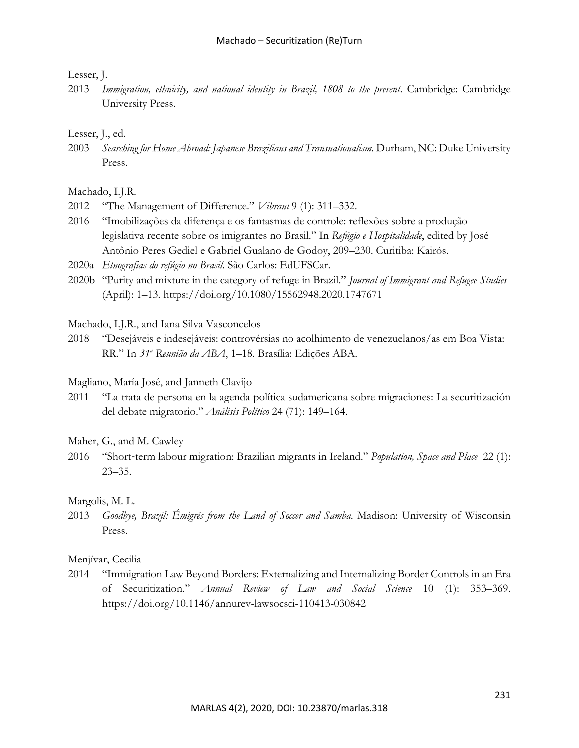## Lesser, J.

2013 *Immigration, ethnicity, and national identity in Brazil, 1808 to the present*. Cambridge: Cambridge University Press.

#### Lesser, J., ed.

2003 *Searching for Home Abroad: Japanese Brazilians and Transnationalism*. Durham, NC: Duke University Press.

#### Machado, I.J.R.

- 2012 "The Management of Difference." *Vibrant* 9 (1): 311–332.
- 2016 "Imobilizações da diferença e os fantasmas de controle: reflexões sobre a produção legislativa recente sobre os imigrantes no Brasil." In *Refúgio e Hospitalidade*, edited by José Antônio Peres Gediel e Gabriel Gualano de Godoy, 209–230. Curitiba: Kairós.
- 2020a *Etnografias do refúgio no Brasil*. São Carlos: EdUFSCar.
- 2020b "Purity and mixture in the category of refuge in Brazil." *Journal of Immigrant and Refugee Studies*  (April): 1–13. https://doi.org/10.1080/15562948.2020.1747671

Machado, I.J.R., and Iana Silva Vasconcelos

2018 "Desejáveis e indesejáveis: controvérsias no acolhimento de venezuelanos/as em Boa Vista: RR." In *31a Reunião da ABA*, 1–18. Brasília: Edições ABA.

Magliano, María José, and Janneth Clavijo

2011 "La trata de persona en la agenda política sudamericana sobre migraciones: La securitización del debate migratorio." *Análisis Político* 24 (71): 149–164.

#### Maher, G., and M. Cawley

2016 "Short-term labour migration: Brazilian migrants in Ireland." *Population, Space and Place* 22 (1): 23–35.

#### Margolis, M. L.

2013 *Goodbye, Brazil: Émigrés from the Land of Soccer and Samba*. Madison: University of Wisconsin Press.

## Menjívar, Cecilia

2014 "Immigration Law Beyond Borders: Externalizing and Internalizing Border Controls in an Era of Securitization." *Annual Review of Law and Social Science* 10 (1): 353–369. https://doi.org/10.1146/annurev-lawsocsci-110413-030842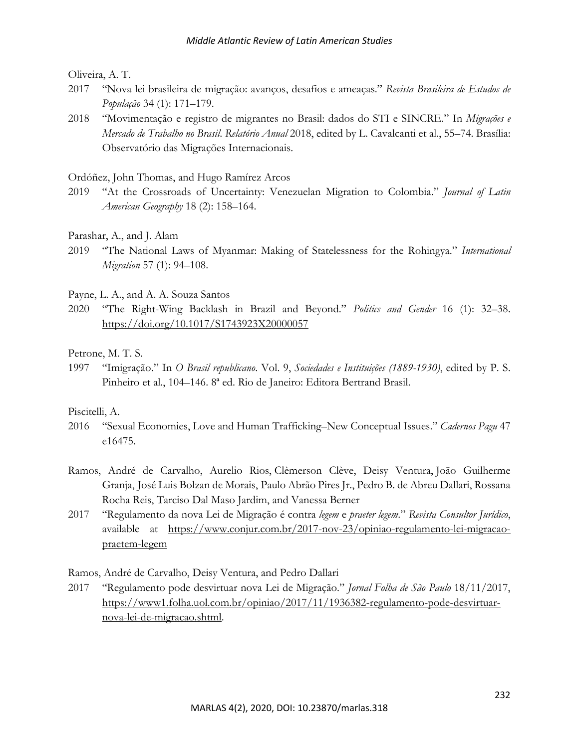## Oliveira, A. T.

- 2017 "Nova lei brasileira de migração: avanços, desafios e ameaças." *Revista Brasileira de Estudos de População* 34 (1): 171–179.
- 2018 "Movimentação e registro de migrantes no Brasil: dados do STI e SINCRE." In *Migrações e Mercado de Trabalho no Brasil*. *Relatório Anual* 2018, edited by L. Cavalcanti et al., 55–74. Brasília: Observatório das Migrações Internacionais.

### Ordóñez, John Thomas, and Hugo Ramírez Arcos

- 2019 "At the Crossroads of Uncertainty: Venezuelan Migration to Colombia." *Journal of Latin American Geography* 18 (2): 158–164.
- Parashar, A., and J. Alam
- 2019 "The National Laws of Myanmar: Making of Statelessness for the Rohingya." *International Migration* 57 (1): 94–108.
- Payne, L. A., and A. A. Souza Santos
- 2020 "The Right-Wing Backlash in Brazil and Beyond." *Politics and Gender* 16 (1): 32–38. https://doi.org/10.1017/S1743923X20000057
- Petrone, M. T. S.
- 1997 "Imigração." In *O Brasil republicano*. Vol. 9, *Sociedades e Instituições (1889-1930)*, edited by P. S. Pinheiro et al., 104–146. 8ª ed. Rio de Janeiro: Editora Bertrand Brasil.

#### Piscitelli, A.

- 2016 "Sexual Economies, Love and Human Trafficking–New Conceptual Issues." *Cadernos Pagu* 47 e16475.
- Ramos, André de Carvalho, Aurelio Rios, Clèmerson Clève, Deisy Ventura, João Guilherme Granja, José Luis Bolzan de Morais, Paulo Abrão Pires Jr., Pedro B. de Abreu Dallari, Rossana Rocha Reis, Tarciso Dal Maso Jardim, and Vanessa Berner
- 2017 "Regulamento da nova Lei de Migração é contra *legem* e *praeter legem*." *Revista Consultor Jurídico*, available at https://www.conjur.com.br/2017-nov-23/opiniao-regulamento-lei-migracaopraetem-legem

Ramos, André de Carvalho, Deisy Ventura, and Pedro Dallari

2017 "Regulamento pode desvirtuar nova Lei de Migração." *Jornal Folha de São Paulo* 18/11/2017, https://www1.folha.uol.com.br/opiniao/2017/11/1936382-regulamento-pode-desvirtuarnova-lei-de-migracao.shtml.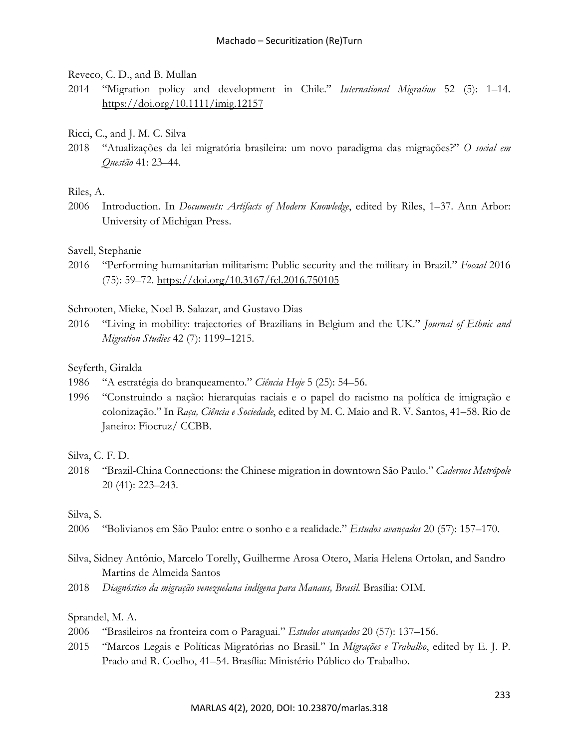Reveco, C. D., and B. Mullan

- 2014 "Migration policy and development in Chile." *International Migration* 52 (5): 1–14. https://doi.org/10.1111/imig.12157
- Ricci, C., and J. M. C. Silva
- 2018 "Atualizações da lei migratória brasileira: um novo paradigma das migrações?" *O social em Questão* 41: 23–44.

## Riles, A.

2006 Introduction. In *Documents: Artifacts of Modern Knowledge*, edited by Riles, 1–37. Ann Arbor: University of Michigan Press.

## Savell, Stephanie

2016 "Performing humanitarian militarism: Public security and the military in Brazil." *Focaal* 2016 (75): 59–72. https://doi.org/10.3167/fcl.2016.750105

Schrooten, Mieke, Noel B. Salazar, and Gustavo Dias

2016 "Living in mobility: trajectories of Brazilians in Belgium and the UK." *Journal of Ethnic and Migration Studies* 42 (7): 1199–1215.

## Seyferth, Giralda

- 1986 "A estratégia do branqueamento." *Ciência Hoje* 5 (25): 54–56.
- 1996 "Construindo a nação: hierarquias raciais e o papel do racismo na política de imigração e colonização." In *Raça, Ciência e Sociedade*, edited by M. C. Maio and R. V. Santos, 41–58. Rio de Janeiro: Fiocruz/ CCBB.

Silva, C. F. D.

2018 "Brazil-China Connections: the Chinese migration in downtown São Paulo." *Cadernos Metrópole*  20 (41): 223–243.

Silva, S.

2006 "Bolivianos em São Paulo: entre o sonho e a realidade." *Estudos avançados* 20 (57): 157–170.

- Silva, Sidney Antônio, Marcelo Torelly, Guilherme Arosa Otero, Maria Helena Ortolan, and Sandro Martins de Almeida Santos
- 2018 *Diagnóstico da migração venezuelana indígena para Manaus, Brasil.* Brasília: OIM.

## Sprandel, M. A.

- 2006 "Brasileiros na fronteira com o Paraguai." *Estudos avançados* 20 (57): 137–156.
- 2015 "Marcos Legais e Políticas Migratórias no Brasil." In *Migrações e Trabalho*, edited by E. J. P. Prado and R. Coelho, 41–54. Brasília: Ministério Público do Trabalho.